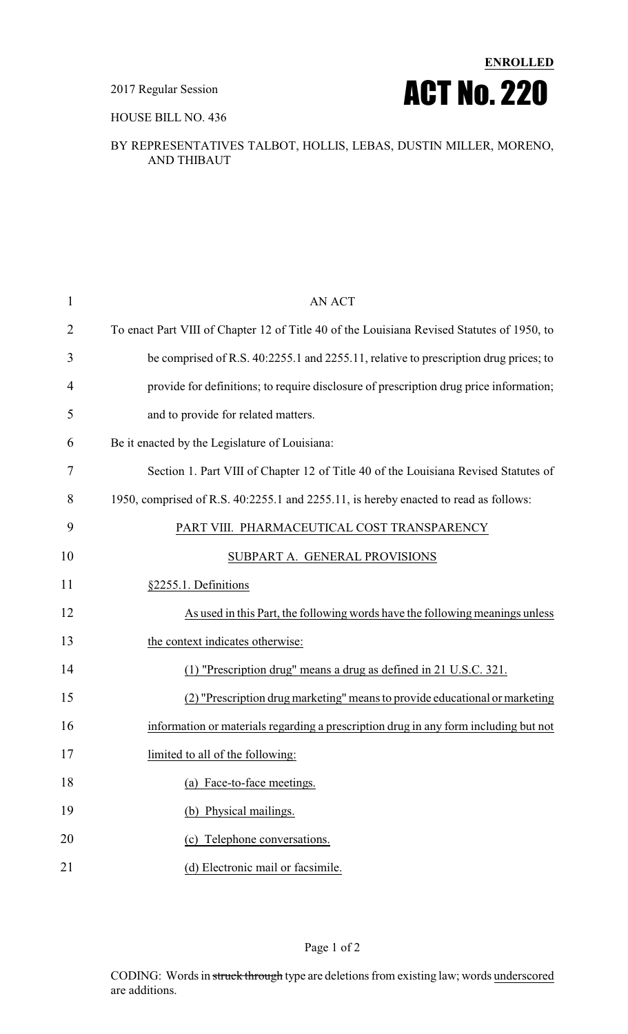2017 Regular Session



HOUSE BILL NO. 436

## BY REPRESENTATIVES TALBOT, HOLLIS, LEBAS, DUSTIN MILLER, MORENO, AND THIBAUT

| 1  | <b>AN ACT</b>                                                                              |
|----|--------------------------------------------------------------------------------------------|
| 2  | To enact Part VIII of Chapter 12 of Title 40 of the Louisiana Revised Statutes of 1950, to |
| 3  | be comprised of R.S. 40:2255.1 and 2255.11, relative to prescription drug prices; to       |
| 4  | provide for definitions; to require disclosure of prescription drug price information;     |
| 5  | and to provide for related matters.                                                        |
| 6  | Be it enacted by the Legislature of Louisiana:                                             |
| 7  | Section 1. Part VIII of Chapter 12 of Title 40 of the Louisiana Revised Statutes of        |
| 8  | 1950, comprised of R.S. 40:2255.1 and 2255.11, is hereby enacted to read as follows:       |
| 9  | PART VIII. PHARMACEUTICAL COST TRANSPARENCY                                                |
| 10 | SUBPART A. GENERAL PROVISIONS                                                              |
| 11 | §2255.1. Definitions                                                                       |
| 12 | As used in this Part, the following words have the following meanings unless               |
| 13 | the context indicates otherwise:                                                           |
| 14 | (1) "Prescription drug" means a drug as defined in 21 U.S.C. 321.                          |
| 15 | (2) "Prescription drug marketing" means to provide educational or marketing                |
| 16 | information or materials regarding a prescription drug in any form including but not       |
| 17 | limited to all of the following:                                                           |
| 18 | (a) Face-to-face meetings.                                                                 |
| 19 | (b) Physical mailings.                                                                     |
| 20 | (c) Telephone conversations.                                                               |
| 21 | (d) Electronic mail or facsimile.                                                          |